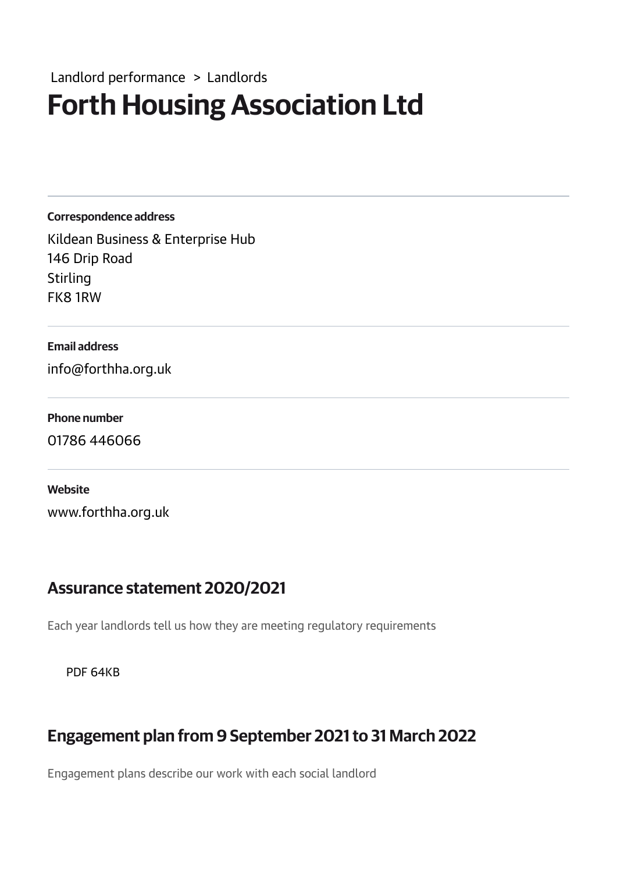## Forth Housing Association Ltd Landlord performance > Landlords

Correspondence address

Kildean Business & Enterprise Hub 146 Drip Road Stirling FK8 1RW

#### Email address

info@forthha.org.uk

#### Phone number

01786 446066

#### **Website**

www.forthha.org.uk

#### Assurance statement 2020/2021

Each year landlords tell us how they are meeting regulatory requirements

PDF 64KB

### Engagement plan from 9 September 2021to 31 March 2022

Engagement plans describe our work with each social landlord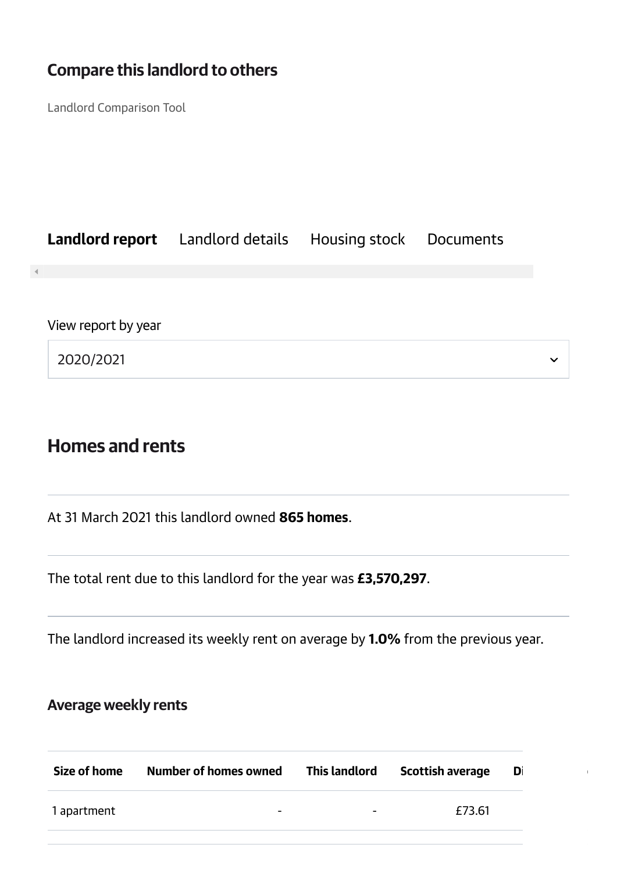### Compare this landlord to others

Landlord Comparison Tool

|                     | <b>Landlord report</b> Landlord details Housing stock Documents |  |
|---------------------|-----------------------------------------------------------------|--|
|                     |                                                                 |  |
| View report by year |                                                                 |  |
| 2020/2021           |                                                                 |  |

### Homes and rents

At 31 March 2021 this landlord owned 865 homes.

The total rent due to this landlord for the year was £3,570,297.

The landlord increased its weekly rent on average by 1.0% from the previous year.

### Average weekly rents

| Size of home | Number of homes owned    | This landlord | <b>Scottish average</b> | Di |
|--------------|--------------------------|---------------|-------------------------|----|
| 1 apartment  | $\overline{\phantom{0}}$ | -             | £73.61                  |    |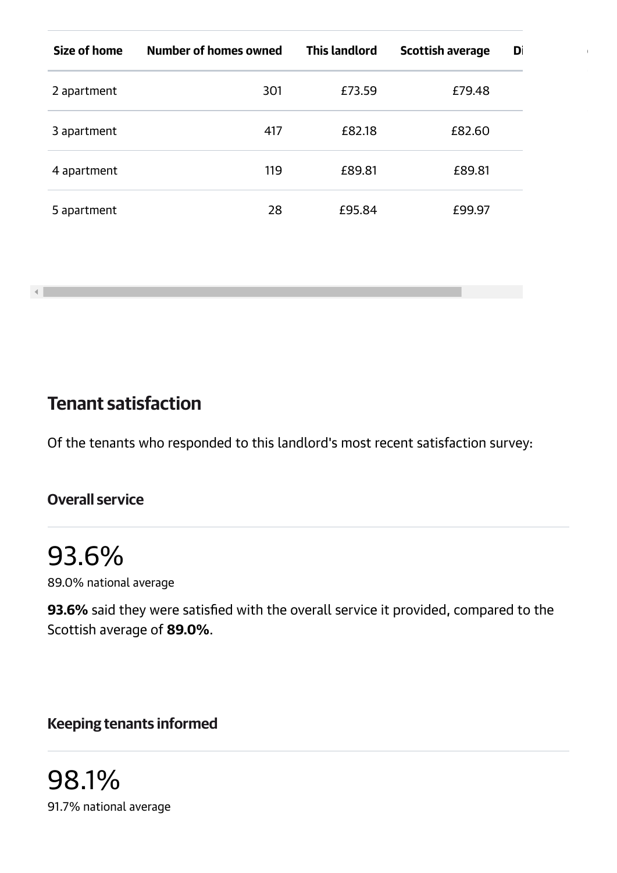| Size of home | Number of homes owned | <b>This landlord</b> | <b>Scottish average</b> | Di |
|--------------|-----------------------|----------------------|-------------------------|----|
| 2 apartment  | 301                   | £73.59               | £79.48                  |    |
| 3 apartment  | 417                   | £82.18               | £82.60                  |    |
| 4 apartment  | 119                   | £89.81               | £89.81                  |    |
| 5 apartment  | 28                    | £95.84               | £99.97                  |    |

Tenant satisfaction

Of the tenants who responded to this landlord's most recent satisfaction survey:

#### Overall service

 $-1$ 

93.6% 89.0% national average

93.6% said they were satisfied with the overall service it provided, compared to the Scottish average of 89.0%.

Keeping tenants informed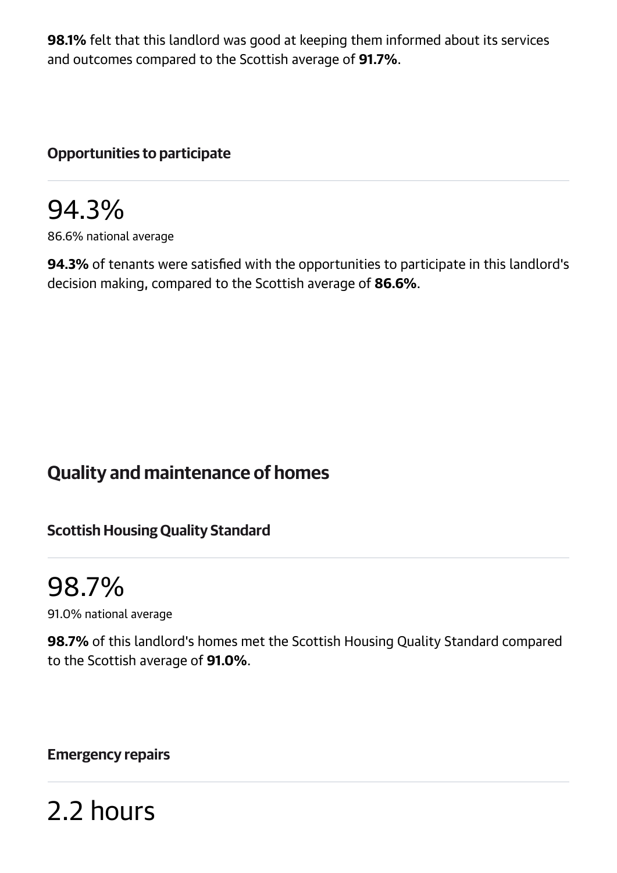98.1% felt that this landlord was good at keeping them informed about its services and outcomes compared to the Scottish average of 91.7%.

#### Opportunities to participate

## 94.3%

86.6% national average

94.3% of tenants were satisfied with the opportunities to participate in this landlord's decision making, compared to the Scottish average of 86.6%.

## Quality and maintenance of homes

#### Scottish Housing Quality Standard

## 98.7%

91.0% national average

98.7% of this landlord's homes met the Scottish Housing Quality Standard compared to the Scottish average of 91.0%.

#### Emergency repairs

2.2 hours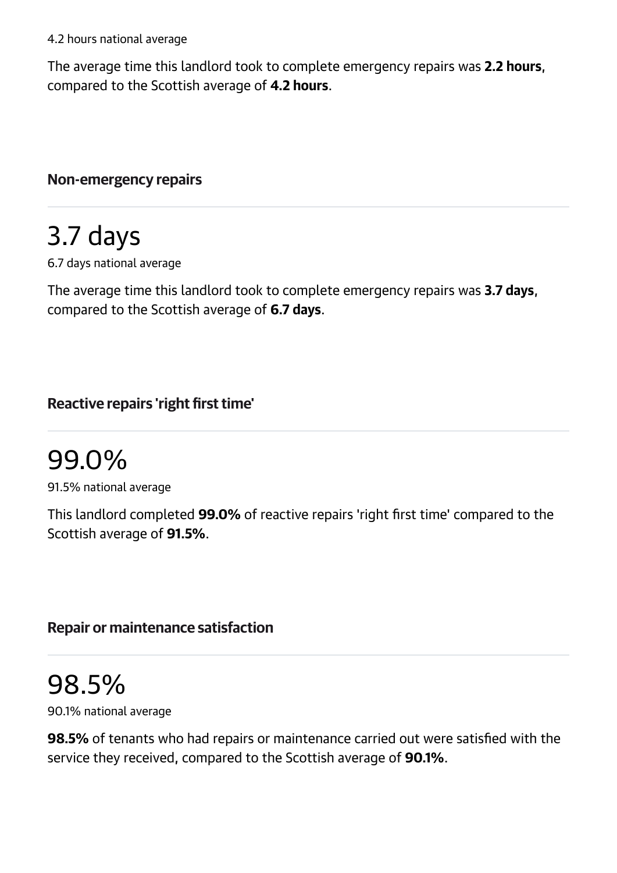The average time this landlord took to complete emergency repairs was 2.2 hours, compared to the Scottish average of 4.2 hours.

Non-emergency repairs

# 3.7 days

6.7 days national average

The average time this landlord took to complete emergency repairs was 3.7 days, compared to the Scottish average of 6.7 days.

### Reactive repairs 'right first time'

## 99.0%

91.5% national average

This landlord completed 99.0% of reactive repairs 'right first time' compared to the Scottish average of 91.5%.

#### Repair or maintenance satisfaction

# 98.5%

90.1% national average

98.5% of tenants who had repairs or maintenance carried out were satisfied with the service they received, compared to the Scottish average of 90.1%.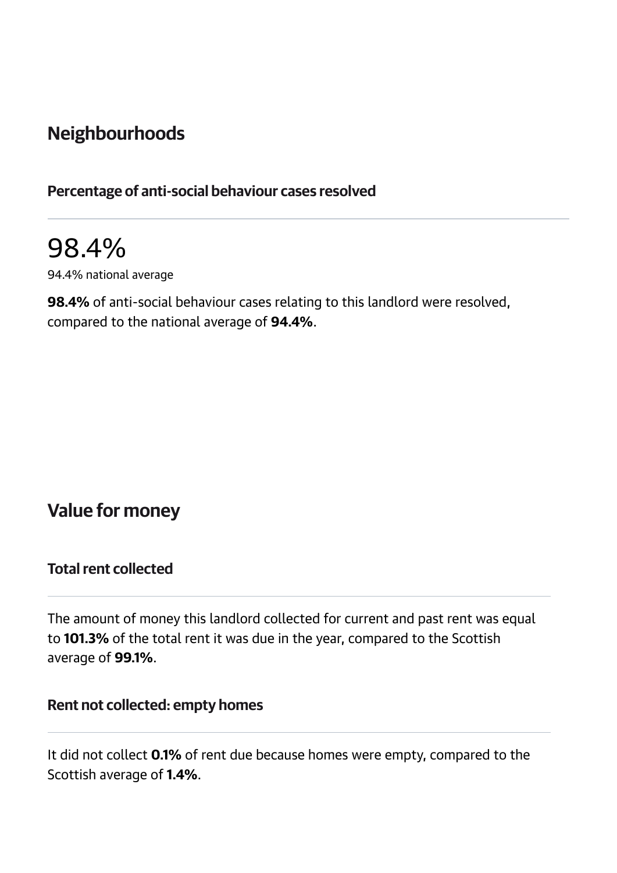## Neighbourhoods

#### Percentage of anti-social behaviour cases resolved

## 98.4%

94.4% national average

98.4% of anti-social behaviour cases relating to this landlord were resolved, compared to the national average of 94.4%.

### Value for money

#### **Total rent collected**

The amount of money this landlord collected for current and past rent was equal to 101.3% of the total rent it was due in the year, compared to the Scottish average of 99.1%.

#### Rent not collected: empty homes

It did not collect 0.1% of rent due because homes were empty, compared to the Scottish average of 1.4%.